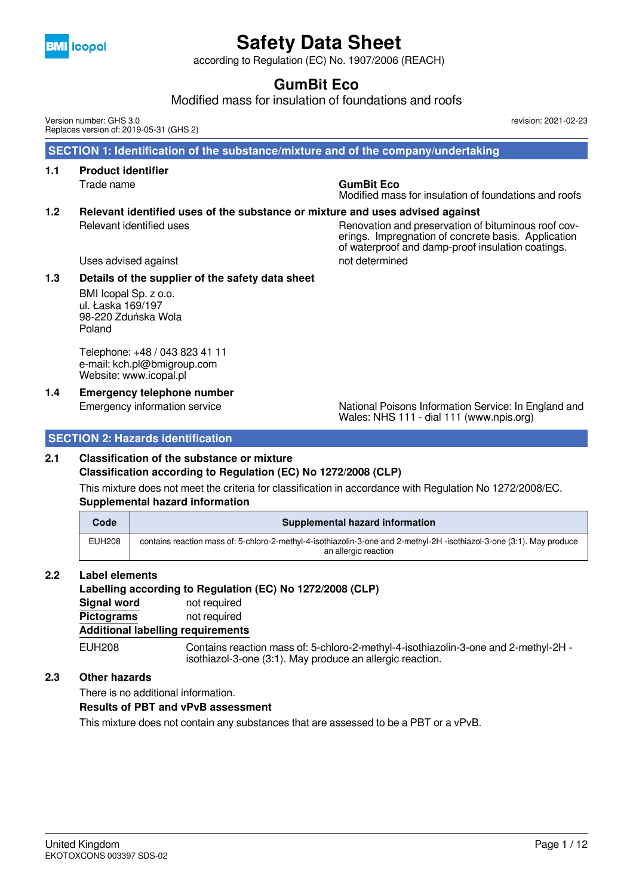

according to Regulation (EC) No. 1907/2006 (REACH)

## **GumBit Eco**

Modified mass for insulation of foundations and roofs

 **SECTION 1: Identification of the substance/mixture and of the company/undertaking 1.1 Product identifier** Trade name **GumBit Eco** Modified mass for insulation of foundations and roofs **1.2 Relevant identified uses of the substance or mixture and uses advised against** Relevant identified uses Renovation and preservation of bituminous roof coverings. Impregnation of concrete basis. Application of waterproof and damp-proof insulation coatings. Version number: GHS 3.0 Replaces version of: 2019-05-31 (GHS 2)

Uses advised against not determined

#### **1.3 Details of the supplier of the safety data sheet**

BMI Icopal Sp. z o.o. ul. Łaska 169/197 98-220 Zduńska Wola Poland

Telephone: +48 / 043 823 41 11 e-mail: kch.pl@bmigroup.com Website: www.icopal.pl

### **1.4 Emergency telephone number**

Emergency information service National Poisons Information Service: In England and Wales: NHS 111 - dial 111 (www.npis.org)

revision: 2021-02-23

#### **SECTION 2: Hazards identification**

#### **2.1 Classification of the substance or mixture**

**Classification according to Regulation (EC) No 1272/2008 (CLP)**

This mixture does not meet the criteria for classification in accordance with Regulation No 1272/2008/EC. **Supplemental hazard information**

| Code          | Supplemental hazard information                                                                                                               |
|---------------|-----------------------------------------------------------------------------------------------------------------------------------------------|
| <b>EUH208</b> | contains reaction mass of: 5-chloro-2-methyl-4-isothiazolin-3-one and 2-methyl-2H-isothiazol-3-one (3:1). May produce<br>an allergic reaction |

#### **2.2 Label elements**

#### **Labelling according to Regulation (EC) No 1272/2008 (CLP)**

**Signal word** not required **Pictograms** not required

#### **Additional labelling requirements**

EUH208 Contains reaction mass of: 5-chloro-2-methyl-4-isothiazolin-3-one and 2-methyl-2H isothiazol-3-one (3:1). May produce an allergic reaction.

#### **2.3 Other hazards**

There is no additional information.

#### **Results of PBT and vPvB assessment**

This mixture does not contain any substances that are assessed to be a PBT or a vPvB.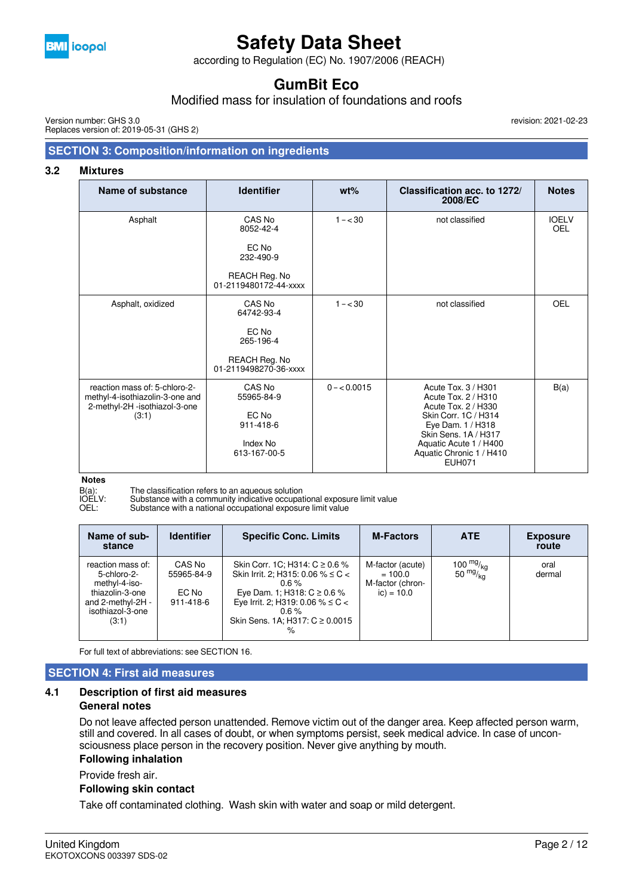

according to Regulation (EC) No. 1907/2006 (REACH)

## **GumBit Eco**

Modified mass for insulation of foundations and roofs

Version number: GHS 3.0 Replaces version of: 2019-05-31 (GHS 2)

### revision: 2021-02-23

### **SECTION 3: Composition/information on ingredients**

#### **3.2 Mixtures**

| Name of substance                                                                                          | <b>Identifier</b>                                                                    | $wt\%$       | Classification acc. to 1272/<br>2008/EC                                                                                                                                                                       | <b>Notes</b>        |
|------------------------------------------------------------------------------------------------------------|--------------------------------------------------------------------------------------|--------------|---------------------------------------------------------------------------------------------------------------------------------------------------------------------------------------------------------------|---------------------|
| Asphalt                                                                                                    | CAS No<br>8052-42-4<br>EC No<br>232-490-9<br>REACH Reg. No                           | $1 - < 30$   | not classified                                                                                                                                                                                                | <b>IOELV</b><br>OEL |
|                                                                                                            | 01-2119480172-44-xxxx                                                                |              |                                                                                                                                                                                                               |                     |
| Asphalt, oxidized                                                                                          | CAS No<br>64742-93-4<br>EC No<br>265-196-4<br>REACH Reg. No<br>01-2119498270-36-xxxx | $1 - < 30$   | not classified                                                                                                                                                                                                | OEL                 |
| reaction mass of: 5-chloro-2-<br>methyl-4-isothiazolin-3-one and<br>2-methyl-2H -isothiazol-3-one<br>(3:1) | CAS No<br>55965-84-9<br>EC No<br>911-418-6<br>Index No<br>613-167-00-5               | $0 - 0.0015$ | Acute Tox, 3 / H301<br>Acute Tox. 2 / H310<br>Acute Tox. 2 / H330<br>Skin Corr. 1C / H314<br>Eye Dam. 1 / H318<br>Skin Sens, 1A / H317<br>Aquatic Acute 1 / H400<br>Aquatic Chronic 1 / H410<br><b>EUH071</b> | B(a)                |

**Notes**

B(a): The classification refers to an aqueous solution

IOELV: Substance with a community indicative occupational exposure limit value

OEL: Substance with a national occupational exposure limit value

| Name of sub-<br>stance                                                                                                 | <b>Identifier</b>                          | <b>Specific Conc. Limits</b>                                                                                                                                                                                                    | <b>M-Factors</b>                                                  | <b>ATE</b>                         | <b>Exposure</b><br>route |
|------------------------------------------------------------------------------------------------------------------------|--------------------------------------------|---------------------------------------------------------------------------------------------------------------------------------------------------------------------------------------------------------------------------------|-------------------------------------------------------------------|------------------------------------|--------------------------|
| reaction mass of:<br>5-chloro-2-<br>methyl-4-iso-<br>thiazolin-3-one<br>and 2-methyl-2H -<br>isothiazol-3-one<br>(3:1) | CAS No<br>55965-84-9<br>EC No<br>911-418-6 | Skin Corr. 1C; H314: C ≥ 0.6 %<br>Skin Irrit. 2; H315: 0.06 % $\leq$ C $<$<br>$0.6 \%$<br>Eye Dam. 1; H318: $C \ge 0.6$ %<br>Eye Irrit. 2; H319: 0.06 % $\leq$ C $<$<br>$0.6 \%$<br>Skin Sens. 1A; H317: $C \ge 0.0015$<br>$\%$ | M-factor (acute)<br>$= 100.0$<br>M-factor (chron-<br>$ic) = 10.0$ | $\frac{100}{50}$ mg/ <sub>kg</sub> | oral<br>dermal           |

For full text of abbreviations: see SECTION 16.

#### **SECTION 4: First aid measures**

#### **4.1 Description of first aid measures**

#### **General notes**

Do not leave affected person unattended. Remove victim out of the danger area. Keep affected person warm, still and covered. In all cases of doubt, or when symptoms persist, seek medical advice. In case of unconsciousness place person in the recovery position. Never give anything by mouth.

#### **Following inhalation**

Provide fresh air.

#### **Following skin contact**

Take off contaminated clothing. Wash skin with water and soap or mild detergent.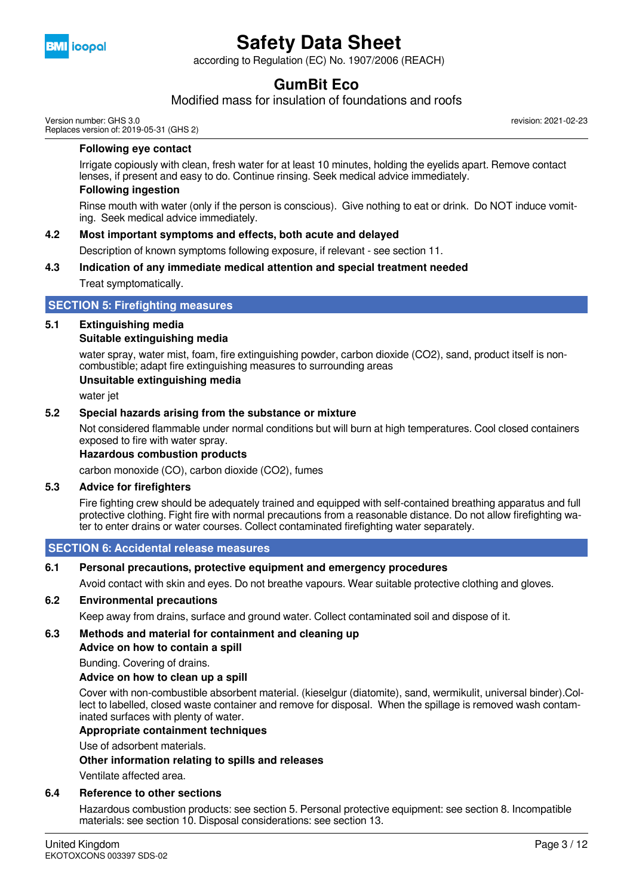

according to Regulation (EC) No. 1907/2006 (REACH)

## **GumBit Eco**

Modified mass for insulation of foundations and roofs

Version number: GHS 3.0 Replaces version of: 2019-05-31 (GHS 2) revision: 2021-02-23

#### **Following eye contact**

Irrigate copiously with clean, fresh water for at least 10 minutes, holding the eyelids apart. Remove contact lenses, if present and easy to do. Continue rinsing. Seek medical advice immediately.

#### **Following ingestion**

Rinse mouth with water (only if the person is conscious). Give nothing to eat or drink. Do NOT induce vomiting. Seek medical advice immediately.

#### **4.2 Most important symptoms and effects, both acute and delayed**

Description of known symptoms following exposure, if relevant - see section 11.

#### **4.3 Indication of any immediate medical attention and special treatment needed**

Treat symptomatically.

#### **SECTION 5: Firefighting measures**

#### **5.1 Extinguishing media Suitable extinguishing media**

water spray, water mist, foam, fire extinguishing powder, carbon dioxide (CO2), sand, product itself is noncombustible; adapt fire extinguishing measures to surrounding areas

#### **Unsuitable extinguishing media**

water jet

#### **5.2 Special hazards arising from the substance or mixture**

Not considered flammable under normal conditions but will burn at high temperatures. Cool closed containers exposed to fire with water spray.

#### **Hazardous combustion products**

carbon monoxide (CO), carbon dioxide (CO2), fumes

#### **5.3 Advice for firefighters**

Fire fighting crew should be adequately trained and equipped with self-contained breathing apparatus and full protective clothing. Fight fire with normal precautions from a reasonable distance. Do not allow firefighting water to enter drains or water courses. Collect contaminated firefighting water separately.

#### **SECTION 6: Accidental release measures**

#### **6.1 Personal precautions, protective equipment and emergency procedures**

Avoid contact with skin and eyes. Do not breathe vapours. Wear suitable protective clothing and gloves.

#### **6.2 Environmental precautions**

Keep away from drains, surface and ground water. Collect contaminated soil and dispose of it.

#### **6.3 Methods and material for containment and cleaning up**

**Advice on how to contain a spill**

Bunding. Covering of drains.

#### **Advice on how to clean up a spill**

Cover with non-combustible absorbent material. (kieselgur (diatomite), sand, wermikulit, universal binder).Collect to labelled, closed waste container and remove for disposal. When the spillage is removed wash contaminated surfaces with plenty of water.

#### **Appropriate containment techniques**

Use of adsorbent materials.

#### **Other information relating to spills and releases**

Ventilate affected area.

#### **6.4 Reference to other sections**

Hazardous combustion products: see section 5. Personal protective equipment: see section 8. Incompatible materials: see section 10. Disposal considerations: see section 13.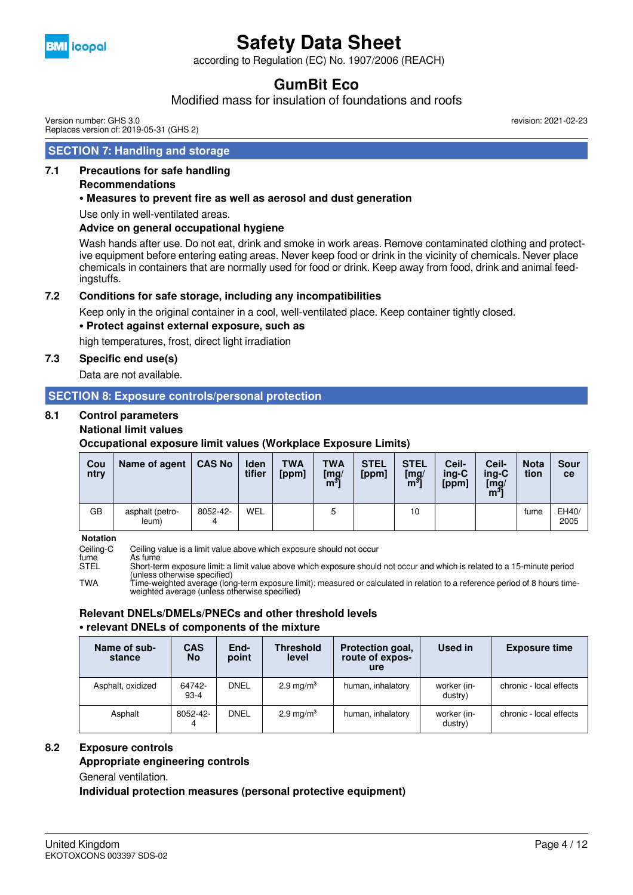

according to Regulation (EC) No. 1907/2006 (REACH)

## **GumBit Eco**

Modified mass for insulation of foundations and roofs

Version number: GHS 3.0 Replaces version of: 2019-05-31 (GHS 2)

#### **SECTION 7: Handling and storage**

#### **7.1 Precautions for safe handling**

#### **Recommendations**

#### **• Measures to prevent fire as well as aerosol and dust generation**

Use only in well-ventilated areas.

#### **Advice on general occupational hygiene**

Wash hands after use. Do not eat, drink and smoke in work areas. Remove contaminated clothing and protective equipment before entering eating areas. Never keep food or drink in the vicinity of chemicals. Never place chemicals in containers that are normally used for food or drink. Keep away from food, drink and animal feedingstuffs.

#### **7.2 Conditions for safe storage, including any incompatibilities**

Keep only in the original container in a cool, well-ventilated place. Keep container tightly closed.

#### **• Protect against external exposure, such as**

high temperatures, frost, direct light irradiation

#### **7.3 Specific end use(s)**

Data are not available.

### **SECTION 8: Exposure controls/personal protection**

#### **8.1 Control parameters**

#### **National limit values**

**Occupational exposure limit values (Workplace Exposure Limits)**

| Cou<br>ntry | Name of agent            | <b>CAS No</b> | <b>Iden</b><br>tifier | <b>TWA</b><br>[ppm] | <b>TWA</b><br>$\begin{bmatrix} \text{mg/} \\ \text{m}^3 \end{bmatrix}$ | <b>STEL</b><br>[ppm] | <b>STEL</b><br>$\begin{bmatrix} \mathsf{mg} / \ \mathsf{m}^3 \end{bmatrix}$ | Ceil-<br>$ina-C$<br>[ppm] | Ceil-<br>ing-C<br>$\left[\frac{mg}{m}\right]$ | <b>Nota</b><br>tion | Sour<br><b>ce</b> |
|-------------|--------------------------|---------------|-----------------------|---------------------|------------------------------------------------------------------------|----------------------|-----------------------------------------------------------------------------|---------------------------|-----------------------------------------------|---------------------|-------------------|
| GB          | asphalt (petro-<br>leum) | 8052-42-      | <b>WEL</b>            |                     | 5                                                                      |                      | 10                                                                          |                           |                                               | fume                | EH40/<br>2005     |

**Notation**

Ceiling-C Ceiling value is a limit value above which exposure should not occur<br>fume As fume<br>Short-term exposure limit: a limit value above which exposure should fume As fume STEL Short-term exposure limit: a limit value above which exposure should not occur and which is related to a 15-minute period (unless otherwise specified) TWA Time-weighted average (long-term exposure limit): measured or calculated in relation to a reference period of 8 hours timeweighted average (unless otherwise specified)

### **Relevant DNELs/DMELs/PNECs and other threshold levels**

#### **• relevant DNELs of components of the mixture**

| Name of sub-<br>stance | <b>CAS</b><br><b>No</b> | End-<br>point | <b>Threshold</b><br>level | Protection goal,<br>route of expos-<br>ure | Used in                | <b>Exposure time</b>    |
|------------------------|-------------------------|---------------|---------------------------|--------------------------------------------|------------------------|-------------------------|
| Asphalt, oxidized      | 64742-<br>$93-4$        | <b>DNEL</b>   | $2.9 \text{ mg/m}^3$      | human, inhalatory                          | worker (in-<br>dustry) | chronic - local effects |
| Asphalt                | 8052-42-<br>4           | DNEL          | $2.9 \text{ mg/m}^3$      | human, inhalatory                          | worker (in-<br>dustry) | chronic - local effects |

#### **8.2 Exposure controls**

**Appropriate engineering controls**

General ventilation.

**Individual protection measures (personal protective equipment)**

revision: 2021-02-23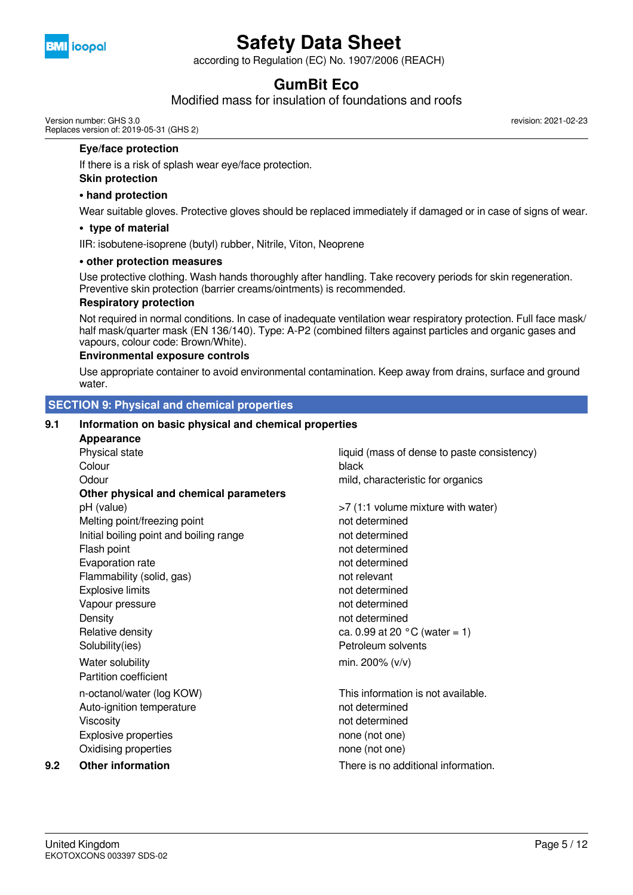

according to Regulation (EC) No. 1907/2006 (REACH)

## **GumBit Eco**

Modified mass for insulation of foundations and roofs

Version number: GHS 3.0 Replaces version of: 2019-05-31 (GHS 2) revision: 2021-02-23

#### **Eye/face protection**

If there is a risk of splash wear eye/face protection.

#### **Skin protection**

#### **• hand protection**

Wear suitable gloves. Protective gloves should be replaced immediately if damaged or in case of signs of wear.

#### **• type of material**

IIR: isobutene-isoprene (butyl) rubber, Nitrile, Viton, Neoprene

#### **• other protection measures**

Use protective clothing. Wash hands thoroughly after handling. Take recovery periods for skin regeneration. Preventive skin protection (barrier creams/ointments) is recommended.

#### **Respiratory protection**

Not required in normal conditions. In case of inadequate ventilation wear respiratory protection. Full face mask/ half mask/quarter mask (EN 136/140). Type: A-P2 (combined filters against particles and organic gases and vapours, colour code: Brown/White).

#### **Environmental exposure controls**

Use appropriate container to avoid environmental contamination. Keep away from drains, surface and ground water.

#### **SECTION 9: Physical and chemical properties**

#### **9.1 Information on basic physical and chemical properties**

|     | <b>Appearance</b>                       |                                             |
|-----|-----------------------------------------|---------------------------------------------|
|     | Physical state                          | liquid (mass of dense to paste consistency) |
|     | Colour                                  | black                                       |
|     | Odour                                   | mild, characteristic for organics           |
|     | Other physical and chemical parameters  |                                             |
|     | pH (value)                              | >7 (1:1 volume mixture with water)          |
|     | Melting point/freezing point            | not determined                              |
|     | Initial boiling point and boiling range | not determined                              |
|     | Flash point                             | not determined                              |
|     | Evaporation rate                        | not determined                              |
|     | Flammability (solid, gas)               | not relevant                                |
|     | <b>Explosive limits</b>                 | not determined                              |
|     | Vapour pressure                         | not determined                              |
|     | Density                                 | not determined                              |
|     | Relative density                        | ca. 0.99 at 20 $^{\circ}$ C (water = 1)     |
|     | Solubility(ies)                         | Petroleum solvents                          |
|     | Water solubility                        | min. 200% $(v/v)$                           |
|     | Partition coefficient                   |                                             |
|     | n-octanol/water (log KOW)               | This information is not available.          |
|     | Auto-ignition temperature               | not determined                              |
|     | Viscosity                               | not determined                              |
|     | <b>Explosive properties</b>             | none (not one)                              |
|     | Oxidising properties                    | none (not one)                              |
| 9.2 | <b>Other information</b>                | There is no additional information.         |
|     |                                         |                                             |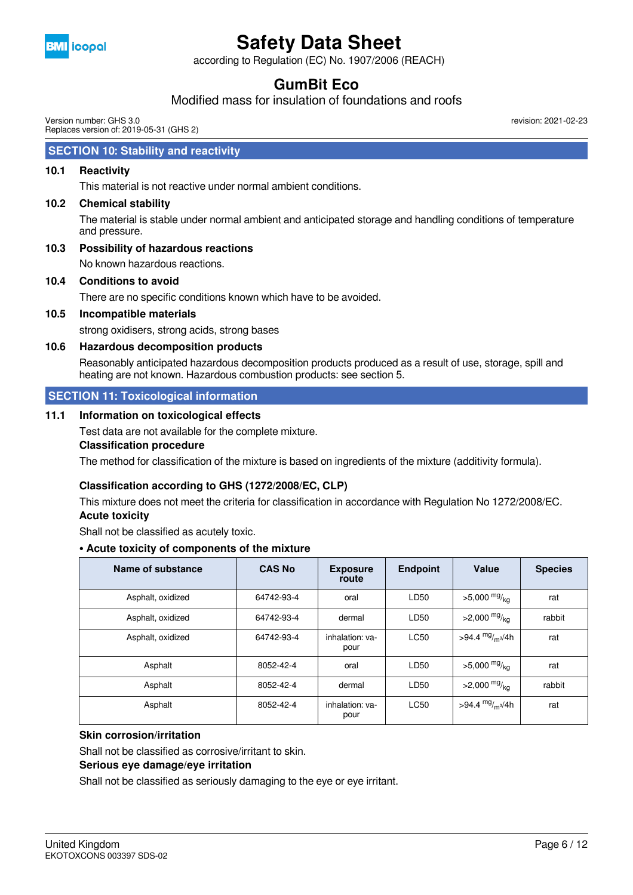

according to Regulation (EC) No. 1907/2006 (REACH)

## **GumBit Eco**

### Modified mass for insulation of foundations and roofs

Version number: GHS 3.0 Replaces version of: 2019-05-31 (GHS 2) revision: 2021-02-23

### **SECTION 10: Stability and reactivity**

#### **10.1 Reactivity**

This material is not reactive under normal ambient conditions.

**10.2 Chemical stability**

The material is stable under normal ambient and anticipated storage and handling conditions of temperature and pressure.

**10.3 Possibility of hazardous reactions**

No known hazardous reactions.

**10.4 Conditions to avoid**

There are no specific conditions known which have to be avoided.

**10.5 Incompatible materials**

strong oxidisers, strong acids, strong bases

#### **10.6 Hazardous decomposition products**

Reasonably anticipated hazardous decomposition products produced as a result of use, storage, spill and heating are not known. Hazardous combustion products: see section 5.

#### **SECTION 11: Toxicological information**

#### **11.1 Information on toxicological effects**

Test data are not available for the complete mixture.

#### **Classification procedure**

The method for classification of the mixture is based on ingredients of the mixture (additivity formula).

#### **Classification according to GHS (1272/2008/EC, CLP)**

This mixture does not meet the criteria for classification in accordance with Regulation No 1272/2008/EC. **Acute toxicity**

Shall not be classified as acutely toxic.

#### **• Acute toxicity of components of the mixture**

| Name of substance | <b>CAS No</b> | <b>Exposure</b><br>route | <b>Endpoint</b> | Value                      | <b>Species</b> |
|-------------------|---------------|--------------------------|-----------------|----------------------------|----------------|
| Asphalt, oxidized | 64742-93-4    | oral                     | LD50            | $>5,000$ mg/ <sub>kg</sub> | rat            |
| Asphalt, oxidized | 64742-93-4    | dermal                   | LD50            | $>2,000 \frac{mg}{kg}$     | rabbit         |
| Asphalt, oxidized | 64742-93-4    | inhalation: va-<br>pour  | <b>LC50</b>     | >94.4 $mg/m3/4h$           | rat            |
| Asphalt           | 8052-42-4     | oral                     | LD50            | $>5,000$ mg/ <sub>kg</sub> | rat            |
| Asphalt           | 8052-42-4     | dermal                   | LD50            | $>2,000$ mg/ <sub>kg</sub> | rabbit         |
| Asphalt           | 8052-42-4     | inhalation: va-<br>pour  | <b>LC50</b>     | >94.4 $mg/m^{3}/4h$        | rat            |

#### **Skin corrosion/irritation**

Shall not be classified as corrosive/irritant to skin.

#### **Serious eye damage/eye irritation**

Shall not be classified as seriously damaging to the eye or eye irritant.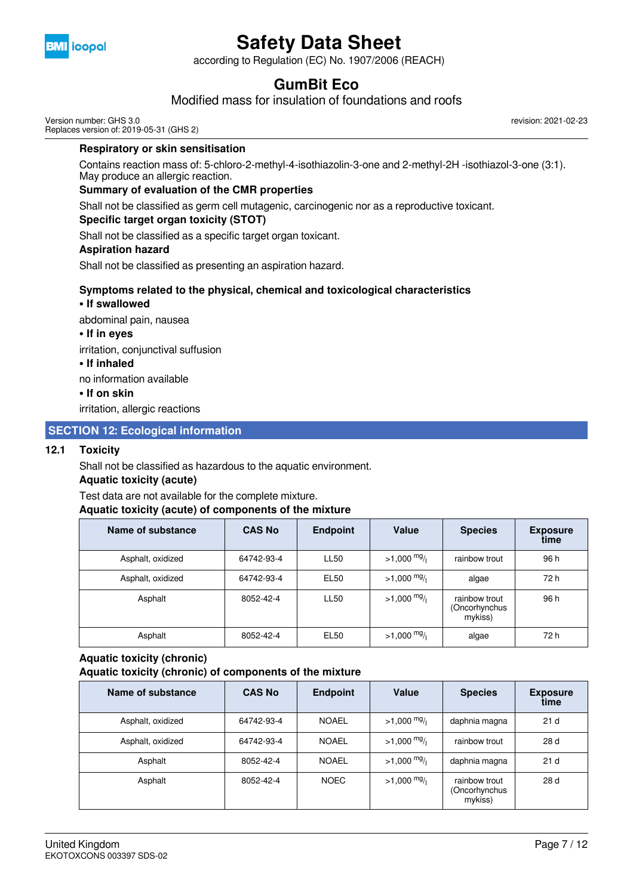

according to Regulation (EC) No. 1907/2006 (REACH)

## **GumBit Eco**

Modified mass for insulation of foundations and roofs

Version number: GHS 3.0 Replaces version of: 2019-05-31 (GHS 2)

#### **Respiratory or skin sensitisation**

Contains reaction mass of: 5-chloro-2-methyl-4-isothiazolin-3-one and 2-methyl-2H -isothiazol-3-one (3:1). May produce an allergic reaction.

#### **Summary of evaluation of the CMR properties**

Shall not be classified as germ cell mutagenic, carcinogenic nor as a reproductive toxicant.

#### **Specific target organ toxicity (STOT)**

Shall not be classified as a specific target organ toxicant.

#### **Aspiration hazard**

Shall not be classified as presenting an aspiration hazard.

#### **Symptoms related to the physical, chemical and toxicological characteristics**

#### **• If swallowed**

abdominal pain, nausea

#### **• If in eyes**

irritation, conjunctival suffusion

#### **• If inhaled**

no information available

#### **• If on skin**

irritation, allergic reactions

#### **SECTION 12: Ecological information**

#### **12.1 Toxicity**

Shall not be classified as hazardous to the aquatic environment.

#### **Aquatic toxicity (acute)**

Test data are not available for the complete mixture.

#### **Aquatic toxicity (acute) of components of the mixture**

| Name of substance | <b>CAS No</b> | <b>Endpoint</b>  | Value                 | <b>Species</b>                            | <b>Exposure</b><br>time |
|-------------------|---------------|------------------|-----------------------|-------------------------------------------|-------------------------|
| Asphalt, oxidized | 64742-93-4    | <b>LL50</b>      | $>1,000$ mg/          | rainbow trout                             | 96 h                    |
| Asphalt, oxidized | 64742-93-4    | EL50             | $>1,000$ mg/          | algae                                     | 72 h                    |
| Asphalt           | 8052-42-4     | <b>LL50</b>      | $>1,000$ mg/          | rainbow trout<br>(Oncorhynchus<br>mykiss) | 96 h                    |
| Asphalt           | 8052-42-4     | EL <sub>50</sub> | $>1,000 \frac{mg}{l}$ | algae                                     | 72 h                    |

### **Aquatic toxicity (chronic)**

**Aquatic toxicity (chronic) of components of the mixture**

| Name of substance | <b>CAS No</b> | <b>Endpoint</b> | Value        | <b>Species</b>                            | <b>Exposure</b><br>time |
|-------------------|---------------|-----------------|--------------|-------------------------------------------|-------------------------|
| Asphalt, oxidized | 64742-93-4    | <b>NOAEL</b>    | $>1,000$ mg/ | daphnia magna                             | 21 <sub>d</sub>         |
| Asphalt, oxidized | 64742-93-4    | <b>NOAEL</b>    | $>1,000$ mg/ | rainbow trout                             | 28 d                    |
| Asphalt           | 8052-42-4     | <b>NOAEL</b>    | $>1,000$ mg/ | daphnia magna                             | 21 <sub>d</sub>         |
| Asphalt           | 8052-42-4     | <b>NOEC</b>     | $>1,000$ mg/ | rainbow trout<br>(Oncorhynchus<br>mykiss) | 28 d                    |

revision: 2021-02-23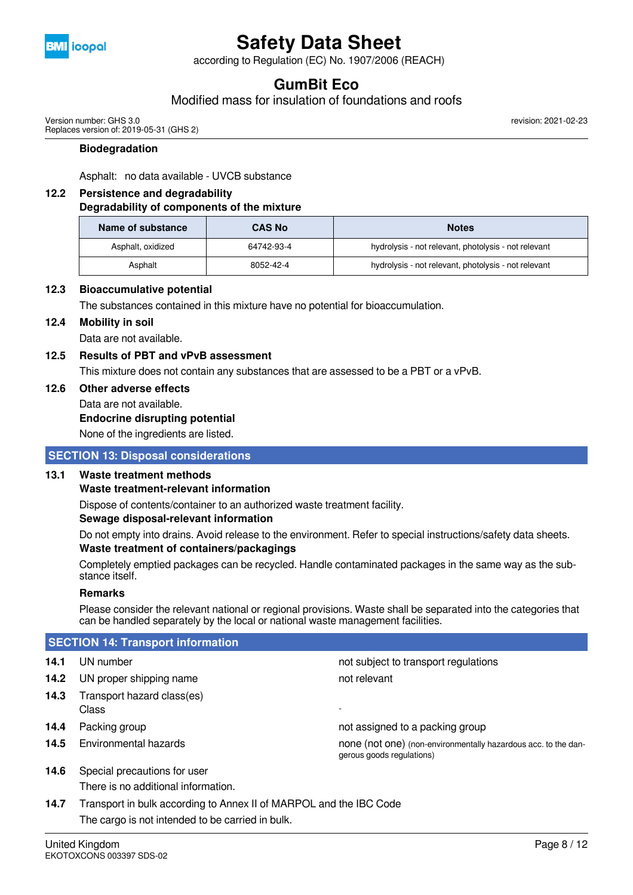

according to Regulation (EC) No. 1907/2006 (REACH)

## **GumBit Eco**

Modified mass for insulation of foundations and roofs

Version number: GHS 3.0 Replaces version of: 2019-05-31 (GHS 2) revision: 2021-02-23

#### **Biodegradation**

Asphalt: no data available - UVCB substance

#### **12.2 Persistence and degradability**

#### **Degradability of components of the mixture**

| Name of substance<br><b>CAS No</b> |            | <b>Notes</b>                                         |
|------------------------------------|------------|------------------------------------------------------|
| Asphalt, oxidized                  | 64742-93-4 | hydrolysis - not relevant, photolysis - not relevant |
| Asphalt                            | 8052-42-4  | hydrolysis - not relevant, photolysis - not relevant |

#### **12.3 Bioaccumulative potential**

The substances contained in this mixture have no potential for bioaccumulation.

#### **12.4 Mobility in soil**

Data are not available.

### **12.5 Results of PBT and vPvB assessment**

This mixture does not contain any substances that are assessed to be a PBT or a vPvB.

**12.6 Other adverse effects**

### Data are not available.

**Endocrine disrupting potential**

None of the ingredients are listed.

#### **SECTION 13: Disposal considerations**

#### **13.1 Waste treatment methods**

#### **Waste treatment-relevant information**

Dispose of contents/container to an authorized waste treatment facility.

#### **Sewage disposal-relevant information**

Do not empty into drains. Avoid release to the environment. Refer to special instructions/safety data sheets. **Waste treatment of containers/packagings**

Completely emptied packages can be recycled. Handle contaminated packages in the same way as the substance itself.

#### **Remarks**

Please consider the relevant national or regional provisions. Waste shall be separated into the categories that can be handled separately by the local or national waste management facilities.

| <b>SECTION 14: Transport information</b> |                                                                    |                                                                                             |  |  |  |  |
|------------------------------------------|--------------------------------------------------------------------|---------------------------------------------------------------------------------------------|--|--|--|--|
| 14.1                                     | UN number                                                          | not subject to transport regulations                                                        |  |  |  |  |
| 14.2                                     | UN proper shipping name                                            | not relevant                                                                                |  |  |  |  |
| 14.3                                     | Transport hazard class(es)<br>Class                                | $\overline{\phantom{a}}$                                                                    |  |  |  |  |
| 14.4                                     | Packing group                                                      | not assigned to a packing group                                                             |  |  |  |  |
| 14.5                                     | Environmental hazards                                              | none (not one) (non-environmentally hazardous acc. to the dan-<br>gerous goods regulations) |  |  |  |  |
| 14.6                                     | Special precautions for user                                       |                                                                                             |  |  |  |  |
|                                          | There is no additional information.                                |                                                                                             |  |  |  |  |
| 14.7                                     | Transport in bulk according to Annex II of MARPOL and the IBC Code |                                                                                             |  |  |  |  |

The cargo is not intended to be carried in bulk.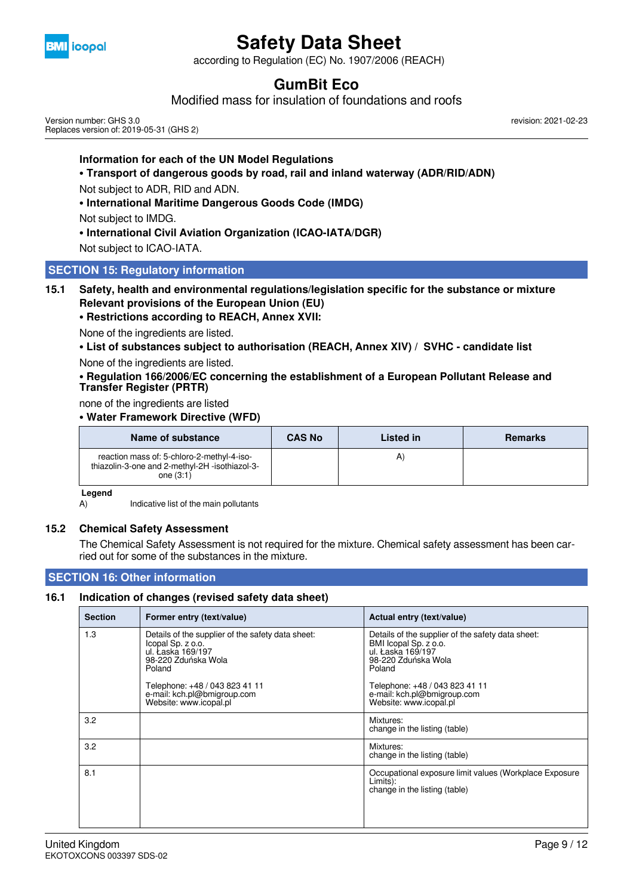

according to Regulation (EC) No. 1907/2006 (REACH)

## **GumBit Eco**

Modified mass for insulation of foundations and roofs

Version number: GHS 3.0 Replaces version of: 2019-05-31 (GHS 2) revision: 2021-02-23

#### **Information for each of the UN Model Regulations**

#### **• Transport of dangerous goods by road, rail and inland waterway (ADR/RID/ADN)**

Not subject to ADR, RID and ADN.

**• International Maritime Dangerous Goods Code (IMDG)**

Not subject to IMDG.

**• International Civil Aviation Organization (ICAO-IATA/DGR)**

Not subject to ICAO-IATA.

#### **SECTION 15: Regulatory information**

#### **15.1 Safety, health and environmental regulations/legislation specific for the substance or mixture Relevant provisions of the European Union (EU)**

**• Restrictions according to REACH, Annex XVII:**

None of the ingredients are listed.

**• List of substances subject to authorisation (REACH, Annex XIV) / SVHC - candidate list**

None of the ingredients are listed.

**• Regulation 166/2006/EC concerning the establishment of a European Pollutant Release and Transfer Register (PRTR)**

#### none of the ingredients are listed

#### **• Water Framework Directive (WFD)**

| Name of substance                                                                                           | <b>CAS No</b> | Listed in | <b>Remarks</b> |
|-------------------------------------------------------------------------------------------------------------|---------------|-----------|----------------|
| reaction mass of: 5-chloro-2-methyl-4-iso-<br>thiazolin-3-one and 2-methyl-2H -isothiazol-3-<br>one $(3:1)$ |               |           |                |

#### **Legend**

A) Indicative list of the main pollutants

#### **15.2 Chemical Safety Assessment**

The Chemical Safety Assessment is not required for the mixture. Chemical safety assessment has been carried out for some of the substances in the mixture.

#### **SECTION 16: Other information**

#### **16.1 Indication of changes (revised safety data sheet)**

| <b>Section</b> | Former entry (text/value)                                                                                                    | Actual entry (text/value)                                                                                                        |
|----------------|------------------------------------------------------------------------------------------------------------------------------|----------------------------------------------------------------------------------------------------------------------------------|
| 1.3            | Details of the supplier of the safety data sheet:<br>Icopal Sp. z o.o.<br>ul. Łaska 169/197<br>98-220 Zduńska Wola<br>Poland | Details of the supplier of the safety data sheet:<br>BMI Icopal Sp. z o.o.<br>ul. Łaska 169/197<br>98-220 Zduńska Wola<br>Poland |
|                | Telephone: +48 / 043 823 41 11<br>e-mail: kch.pl@bmigroup.com<br>Website: www.icopal.pl                                      | Telephone: +48 / 043 823 41 11<br>e-mail: kch.pl@bmigroup.com<br>Website: www.icopal.pl                                          |
| 3.2            |                                                                                                                              | Mixtures:<br>change in the listing (table)                                                                                       |
| 3.2            |                                                                                                                              | Mixtures:<br>change in the listing (table)                                                                                       |
| 8.1            |                                                                                                                              | Occupational exposure limit values (Workplace Exposure<br>Limits):<br>change in the listing (table)                              |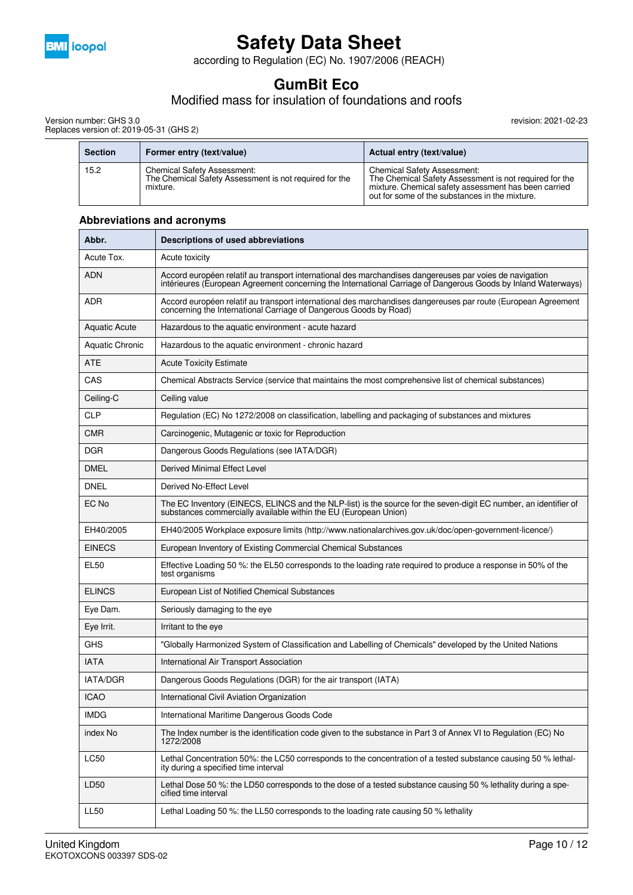

according to Regulation (EC) No. 1907/2006 (REACH)

## **GumBit Eco**

### Modified mass for insulation of foundations and roofs

Version number: GHS 3.0 Replaces version of: 2019-05-31 (GHS 2)

| <b>Section</b> | Former entry (text/value)                                                                                | Actual entry (text/value)                                                                                                                                                                              |
|----------------|----------------------------------------------------------------------------------------------------------|--------------------------------------------------------------------------------------------------------------------------------------------------------------------------------------------------------|
| 15.2           | <b>Chemical Safety Assessment:</b><br>The Chemical Safety Assessment is not required for the<br>mixture. | <b>Chemical Safety Assessment:</b><br>The Chemical Safety Assessment is not required for the<br>mixture. Chemical safety assessment has been carried<br>out for some of the substances in the mixture. |

| Abbr.                | Descriptions of used abbreviations                                                                                                                                                                                       |  |
|----------------------|--------------------------------------------------------------------------------------------------------------------------------------------------------------------------------------------------------------------------|--|
| Acute Tox.           | Acute toxicity                                                                                                                                                                                                           |  |
| <b>ADN</b>           | Accord européen relatif au transport international des marchandises dangereuses par voies de navigation<br>intérieures (European Agreement concerning the International Carriage of Dangerous Goods by Inland Waterways) |  |
| ADR                  | Accord européen relatif au transport international des marchandises dangereuses par route (European Agreement<br>concerning the International Carriage of Dangerous Goods by Road)                                       |  |
| <b>Aquatic Acute</b> | Hazardous to the aquatic environment - acute hazard                                                                                                                                                                      |  |
| Aquatic Chronic      | Hazardous to the aquatic environment - chronic hazard                                                                                                                                                                    |  |
| <b>ATE</b>           | <b>Acute Toxicity Estimate</b>                                                                                                                                                                                           |  |
| CAS                  | Chemical Abstracts Service (service that maintains the most comprehensive list of chemical substances)                                                                                                                   |  |
| Ceiling-C            | Ceiling value                                                                                                                                                                                                            |  |
| <b>CLP</b>           | Regulation (EC) No 1272/2008 on classification, labelling and packaging of substances and mixtures                                                                                                                       |  |
| <b>CMR</b>           | Carcinogenic, Mutagenic or toxic for Reproduction                                                                                                                                                                        |  |
| <b>DGR</b>           | Dangerous Goods Regulations (see IATA/DGR)                                                                                                                                                                               |  |
| <b>DMEL</b>          | Derived Minimal Effect Level                                                                                                                                                                                             |  |
| <b>DNEL</b>          | Derived No-Effect Level                                                                                                                                                                                                  |  |
| EC No                | The EC Inventory (EINECS, ELINCS and the NLP-list) is the source for the seven-digit EC number, an identifier of<br>substances commercially available within the EU (European Union)                                     |  |
| EH40/2005            | EH40/2005 Workplace exposure limits (http://www.nationalarchives.gov.uk/doc/open-government-licence/)                                                                                                                    |  |
| <b>EINECS</b>        | European Inventory of Existing Commercial Chemical Substances                                                                                                                                                            |  |
| <b>EL50</b>          | Effective Loading 50 %: the EL50 corresponds to the loading rate required to produce a response in 50% of the<br>test organisms                                                                                          |  |
| <b>ELINCS</b>        | European List of Notified Chemical Substances                                                                                                                                                                            |  |
| Eye Dam.             | Seriously damaging to the eye                                                                                                                                                                                            |  |
| Eye Irrit.           | Irritant to the eye                                                                                                                                                                                                      |  |
| <b>GHS</b>           | "Globally Harmonized System of Classification and Labelling of Chemicals" developed by the United Nations                                                                                                                |  |
| <b>IATA</b>          | International Air Transport Association                                                                                                                                                                                  |  |
| <b>IATA/DGR</b>      | Dangerous Goods Regulations (DGR) for the air transport (IATA)                                                                                                                                                           |  |
| <b>ICAO</b>          | International Civil Aviation Organization                                                                                                                                                                                |  |
| <b>IMDG</b>          | International Maritime Dangerous Goods Code                                                                                                                                                                              |  |
| index No             | The Index number is the identification code given to the substance in Part 3 of Annex VI to Regulation (EC) No<br>1272/2008                                                                                              |  |
| LC50                 | Lethal Concentration 50%: the LC50 corresponds to the concentration of a tested substance causing 50 % lethal-<br>ity during a specified time interval                                                                   |  |
| LD50                 | Lethal Dose 50 %: the LD50 corresponds to the dose of a tested substance causing 50 % lethality during a spe-<br>cified time interval                                                                                    |  |
| <b>LL50</b>          | Lethal Loading 50 %: the LL50 corresponds to the loading rate causing 50 % lethality                                                                                                                                     |  |

#### **Abbreviations and acronyms**

 $\overline{\phantom{a}}$ 

revision: 2021-02-23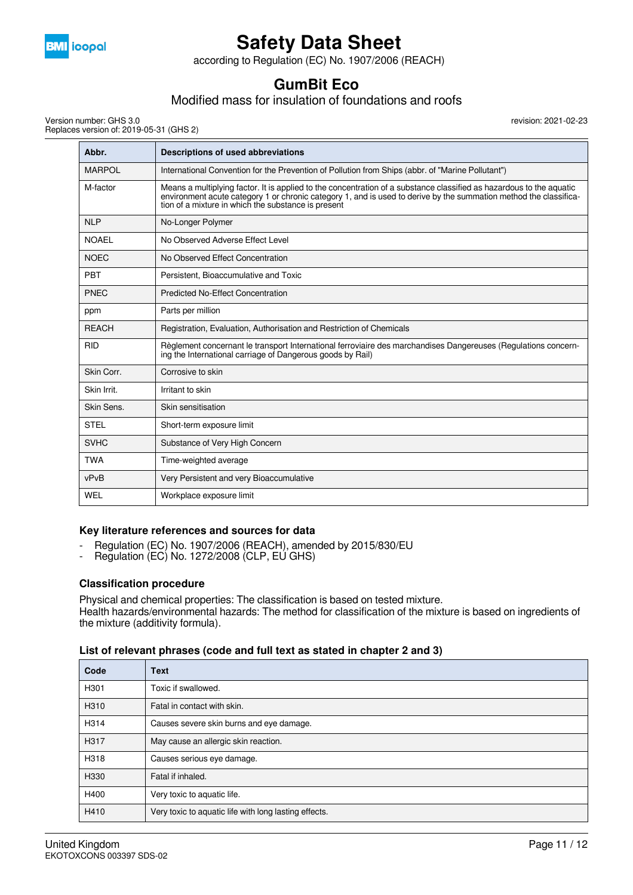

according to Regulation (EC) No. 1907/2006 (REACH)

## **GumBit Eco**

### Modified mass for insulation of foundations and roofs

Version number: GHS 3.0 Replaces version of: 2019-05-31 (GHS 2) revision: 2021-02-23

| Abbr.         | Descriptions of used abbreviations                                                                                                                                                                                                                                                               |
|---------------|--------------------------------------------------------------------------------------------------------------------------------------------------------------------------------------------------------------------------------------------------------------------------------------------------|
| <b>MARPOL</b> | International Convention for the Prevention of Pollution from Ships (abbr. of "Marine Pollutant")                                                                                                                                                                                                |
| M-factor      | Means a multiplying factor. It is applied to the concentration of a substance classified as hazardous to the aquatic<br>environment acute category 1 or chronic category 1, and is used to derive by the summation method the classifica-<br>tion of a mixture in which the substance is present |
| <b>NLP</b>    | No-Longer Polymer                                                                                                                                                                                                                                                                                |
| <b>NOAEL</b>  | No Observed Adverse Effect Level                                                                                                                                                                                                                                                                 |
| <b>NOEC</b>   | No Observed Effect Concentration                                                                                                                                                                                                                                                                 |
| PBT           | Persistent. Bioaccumulative and Toxic                                                                                                                                                                                                                                                            |
| <b>PNEC</b>   | <b>Predicted No-Effect Concentration</b>                                                                                                                                                                                                                                                         |
| ppm           | Parts per million                                                                                                                                                                                                                                                                                |
| <b>REACH</b>  | Registration, Evaluation, Authorisation and Restriction of Chemicals                                                                                                                                                                                                                             |
| <b>RID</b>    | Règlement concernant le transport International ferroviaire des marchandises Dangereuses (Regulations concern-<br>ing the International carriage of Dangerous goods by Rail)                                                                                                                     |
| Skin Corr.    | Corrosive to skin                                                                                                                                                                                                                                                                                |
| Skin Irrit.   | Irritant to skin                                                                                                                                                                                                                                                                                 |
| Skin Sens.    | Skin sensitisation                                                                                                                                                                                                                                                                               |
| <b>STEL</b>   | Short-term exposure limit                                                                                                                                                                                                                                                                        |
| <b>SVHC</b>   | Substance of Very High Concern                                                                                                                                                                                                                                                                   |
| <b>TWA</b>    | Time-weighted average                                                                                                                                                                                                                                                                            |
| vPvB          | Very Persistent and very Bioaccumulative                                                                                                                                                                                                                                                         |
| <b>WEL</b>    | Workplace exposure limit                                                                                                                                                                                                                                                                         |

#### **Key literature references and sources for data**

- Regulation (EC) No. 1907/2006 (REACH), amended by 2015/830/EU
- Regulation (EC) No. 1272/2008 (CLP, EU GHS)

#### **Classification procedure**

Physical and chemical properties: The classification is based on tested mixture. Health hazards/environmental hazards: The method for classification of the mixture is based on ingredients of the mixture (additivity formula).

#### **List of relevant phrases (code and full text as stated in chapter 2 and 3)**

| Code | <b>Text</b>                                           |
|------|-------------------------------------------------------|
| H301 | Toxic if swallowed.                                   |
| H310 | Fatal in contact with skin.                           |
| H314 | Causes severe skin burns and eye damage.              |
| H317 | May cause an allergic skin reaction.                  |
| H318 | Causes serious eye damage.                            |
| H330 | Fatal if inhaled.                                     |
| H400 | Very toxic to aquatic life.                           |
| H410 | Very toxic to aquatic life with long lasting effects. |